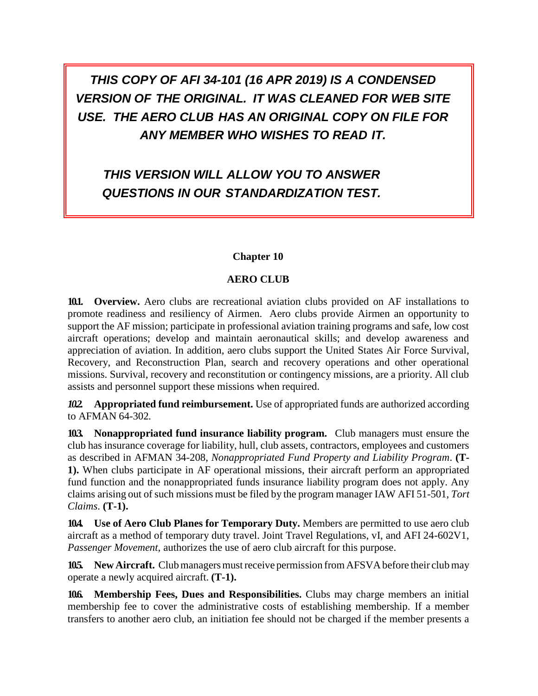*THIS COPY OF AFI 34-101 (16 APR 2019) IS A CONDENSED VERSION OF THE ORIGINAL. IT WAS CLEANED FOR WEB SITE USE. THE AERO CLUB HAS AN ORIGINAL COPY ON FILE FOR ANY MEMBER WHO WISHES TO READ IT.*

*THIS VERSION WILL ALLOW YOU TO ANSWER QUESTIONS IN OUR STANDARDIZATION TEST.*

### **Chapter 10**

### **AERO CLUB**

**10.1. Overview.** Aero clubs are recreational aviation clubs provided on AF installations to promote readiness and resiliency of Airmen. Aero clubs provide Airmen an opportunity to support the AF mission; participate in professional aviation training programs and safe, low cost aircraft operations; develop and maintain aeronautical skills; and develop awareness and appreciation of aviation. In addition, aero clubs support the United States Air Force Survival, Recovery, and Reconstruction Plan, search and recovery operations and other operational missions. Survival, recovery and reconstitution or contingency missions, are a priority. All club assists and personnel support these missions when required.

*10.2.* **Appropriated fund reimbursement.** Use of appropriated funds are authorized according to AFMAN 64-302*.*

**10.3. Nonappropriated fund insurance liability program.** Club managers must ensure the club has insurance coverage for liability, hull, club assets, contractors, employees and customers as described in AFMAN 34-208, *Nonappropriated Fund Property and Liability Program*. **(T-1).** When clubs participate in AF operational missions, their aircraft perform an appropriated fund function and the nonappropriated funds insurance liability program does not apply. Any claims arising out of such missions must be filed by the program manager IAW AFI 51-501, *Tort Claims*. **(T-1).**

**10.4. Use of Aero Club Planes for Temporary Duty.** Members are permitted to use aero club aircraft as a method of temporary duty travel. Joint Travel Regulations, vI, and AFI 24-602V1, *Passenger Movement*, authorizes the use of aero club aircraft for this purpose.

**105.** New Aircraft. Club managers must receive permission from AFSVA before their club may operate a newly acquired aircraft. **(T-1).**

**10.6. Membership Fees, Dues and Responsibilities.** Clubs may charge members an initial membership fee to cover the administrative costs of establishing membership. If a member transfers to another aero club, an initiation fee should not be charged if the member presents a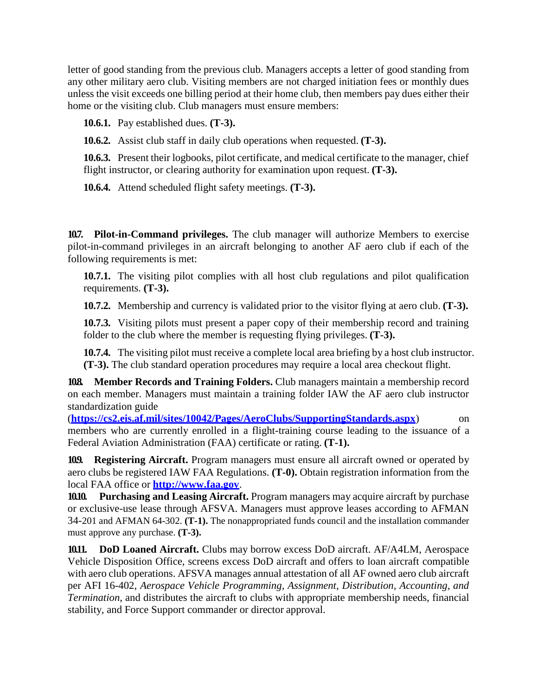letter of good standing from the previous club. Managers accepts a letter of good standing from any other military aero club. Visiting members are not charged initiation fees or monthly dues unless the visit exceeds one billing period at their home club, then members pay dues either their home or the visiting club. Club managers must ensure members:

**10.6.1.** Pay established dues. **(T-3).**

**10.6.2.** Assist club staff in daily club operations when requested. **(T-3).**

**10.6.3.** Present their logbooks, pilot certificate, and medical certificate to the manager, chief flight instructor, or clearing authority for examination upon request. **(T-3).**

**10.6.4.** Attend scheduled flight safety meetings. **(T-3).**

**10.7.** Pilot-in-Command privileges. The club manager will authorize Members to exercise pilot-in-command privileges in an aircraft belonging to another AF aero club if each of the following requirements is met:

**10.7.1.** The visiting pilot complies with all host club regulations and pilot qualification requirements. **(T-3).**

**10.7.2.** Membership and currency is validated prior to the visitor flying at aero club. **(T-3).**

**10.7.3.** Visiting pilots must present a paper copy of their membership record and training folder to the club where the member is requesting flying privileges. **(T-3).**

**10.7.4.** The visiting pilot must receive a complete local area briefing by a host club instructor. **(T-3).** The club standard operation procedures may require a local area checkout flight.

**10.8. Member Records and Training Folders.** Club managers maintain a membership record on each member. Managers must maintain a training folder IAW the AF aero club instructor standardization guide

(**<https://cs2.eis.af.mil/sites/10042/Pages/AeroClubs/SupportingStandards.aspx>**) on members who are currently enrolled in a flight-training course leading to the issuance of a Federal Aviation Administration (FAA) certificate or rating. **(T-1).**

**109. Registering Aircraft.** Program managers must ensure all aircraft owned or operated by aero clubs be registered IAW FAA Regulations. **(T-0).** Obtain registration information from the local FAA office or **[http://www.faa.gov](http://www.faa.gov/)**.

**10.10. Purchasing and Leasing Aircraft.** Program managers may acquire aircraft by purchase or exclusive-use lease through AFSVA. Managers must approve leases according to AFMAN 34-201 and AFMAN 64-302. **(T-1).** The nonappropriated funds council and the installation commander must approve any purchase. **(T-3).**

**10.11. DoD Loaned Aircraft.** Clubs may borrow excess DoD aircraft. AF/A4LM, Aerospace Vehicle Disposition Office, screens excess DoD aircraft and offers to loan aircraft compatible with aero club operations. AFSVA manages annual attestation of all AF owned aero club aircraft per AFI 16-402, *Aerospace Vehicle Programming, Assignment, Distribution, Accounting, and Termination*, and distributes the aircraft to clubs with appropriate membership needs, financial stability, and Force Support commander or director approval.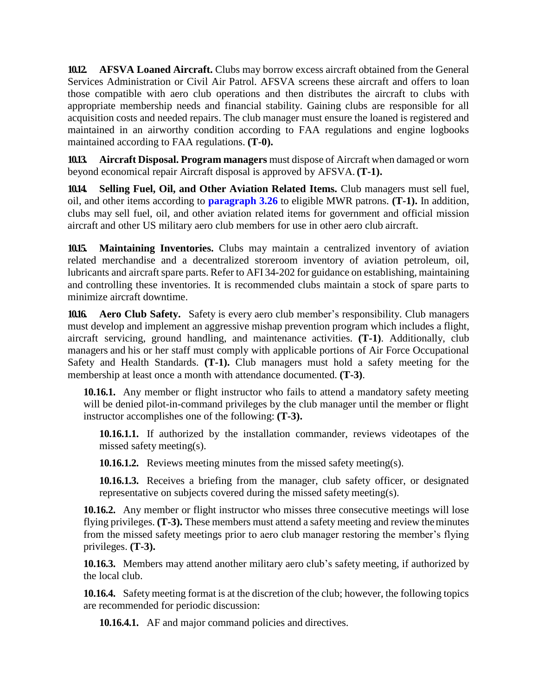**10.12. AFSVA Loaned Aircraft.** Clubs may borrow excess aircraft obtained from the General Services Administration or Civil Air Patrol. AFSVA screens these aircraft and offers to loan those compatible with aero club operations and then distributes the aircraft to clubs with appropriate membership needs and financial stability. Gaining clubs are responsible for all acquisition costs and needed repairs. The club manager must ensure the loaned is registered and maintained in an airworthy condition according to FAA regulations and engine logbooks maintained according to FAA regulations. **(T-0).**

**10.13. Aircraft Disposal. Program managers** must dispose of Aircraft when damaged or worn beyond economical repair Aircraft disposal is approved by AFSVA. **(T-1).**

**10.14. Selling Fuel, Oil, and Other Aviation Related Items.** Club managers must sell fuel, oil, and other items according to **paragraph 3.26** to eligible MWR patrons. **(T-1).** In addition, clubs may sell fuel, oil, and other aviation related items for government and official mission aircraft and other US military aero club members for use in other aero club aircraft.

**10.15. Maintaining Inventories.** Clubs may maintain a centralized inventory of aviation related merchandise and a decentralized storeroom inventory of aviation petroleum, oil, lubricants and aircraft spare parts. Refer to AFI 34-202 for guidance on establishing, maintaining and controlling these inventories. It is recommended clubs maintain a stock of spare parts to minimize aircraft downtime.

**10.16. Aero Club Safety.** Safety is every aero club member's responsibility. Club managers must develop and implement an aggressive mishap prevention program which includes a flight, aircraft servicing, ground handling, and maintenance activities. **(T-1)**. Additionally, club managers and his or her staff must comply with applicable portions of Air Force Occupational Safety and Health Standards. **(T-1).** Club managers must hold a safety meeting for the membership at least once a month with attendance documented. **(T-3)**.

**10.16.1.** Any member or flight instructor who fails to attend a mandatory safety meeting will be denied pilot-in-command privileges by the club manager until the member or flight instructor accomplishes one of the following: **(T-3).**

**10.16.1.1.** If authorized by the installation commander, reviews videotapes of the missed safety meeting(s).

**10.16.1.2.** Reviews meeting minutes from the missed safety meeting(s).

**10.16.1.3.** Receives a briefing from the manager, club safety officer, or designated representative on subjects covered during the missed safety meeting(s).

**10.16.2.** Any member or flight instructor who misses three consecutive meetings will lose flying privileges. **(T-3).** These members must attend a safety meeting and review theminutes from the missed safety meetings prior to aero club manager restoring the member's flying privileges. **(T-3).**

**10.16.3.** Members may attend another military aero club's safety meeting, if authorized by the local club.

**10.16.4.** Safety meeting format is at the discretion of the club; however, the following topics are recommended for periodic discussion:

**10.16.4.1.** AF and major command policies and directives.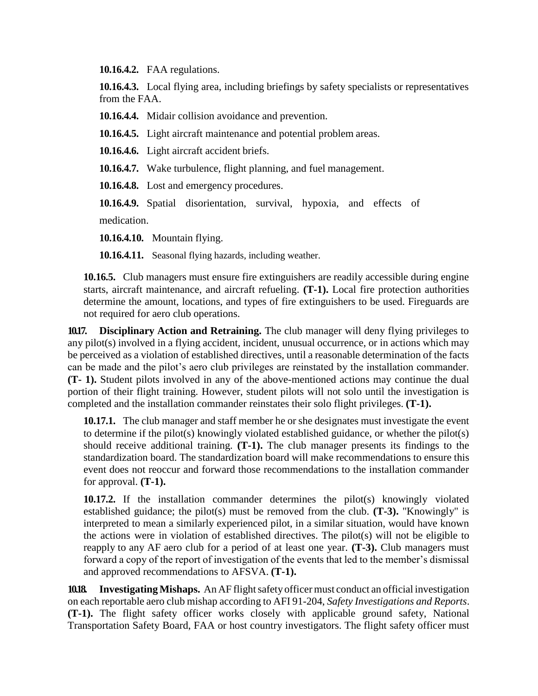**10.16.4.2.** FAA regulations.

**10.16.4.3.** Local flying area, including briefings by safety specialists or representatives from the FAA.

**10.16.4.4.** Midair collision avoidance and prevention.

**10.16.4.5.** Light aircraft maintenance and potential problem areas.

**10.16.4.6.** Light aircraft accident briefs.

**10.16.4.7.** Wake turbulence, flight planning, and fuel management.

**10.16.4.8.** Lost and emergency procedures.

**10.16.4.9.** Spatial disorientation, survival, hypoxia, and effects of medication.

**10.16.4.10.** Mountain flying.

**10.16.4.11.** Seasonal flying hazards, including weather.

**10.16.5.** Club managers must ensure fire extinguishers are readily accessible during engine starts, aircraft maintenance, and aircraft refueling. **(T-1).** Local fire protection authorities determine the amount, locations, and types of fire extinguishers to be used. Fireguards are not required for aero club operations.

**10.17. Disciplinary Action and Retraining.** The club manager will deny flying privileges to any pilot(s) involved in a flying accident, incident, unusual occurrence, or in actions which may be perceived as a violation of established directives, until a reasonable determination of the facts can be made and the pilot's aero club privileges are reinstated by the installation commander. **(T- 1).** Student pilots involved in any of the above-mentioned actions may continue the dual portion of their flight training. However, student pilots will not solo until the investigation is completed and the installation commander reinstates their solo flight privileges. **(T-1).**

**10.17.1.** The club manager and staff member he or she designates must investigate the event to determine if the pilot(s) knowingly violated established guidance, or whether the pilot(s) should receive additional training. **(T-1).** The club manager presents its findings to the standardization board. The standardization board will make recommendations to ensure this event does not reoccur and forward those recommendations to the installation commander for approval. **(T-1).**

**10.17.2.** If the installation commander determines the pilot(s) knowingly violated established guidance; the pilot(s) must be removed from the club. **(T-3).** "Knowingly" is interpreted to mean a similarly experienced pilot, in a similar situation, would have known the actions were in violation of established directives. The pilot(s) will not be eligible to reapply to any AF aero club for a period of at least one year. **(T-3).** Club managers must forward a copy of the report of investigation of the events that led to the member's dismissal and approved recommendations to AFSVA. **(T-1).**

**10.18. Investigating Mishaps.** An AF flight safety officer must conduct an official investigation on each reportable aero club mishap according to AFI 91-204, *Safety Investigations and Reports*. **(T-1).** The flight safety officer works closely with applicable ground safety, National Transportation Safety Board, FAA or host country investigators. The flight safety officer must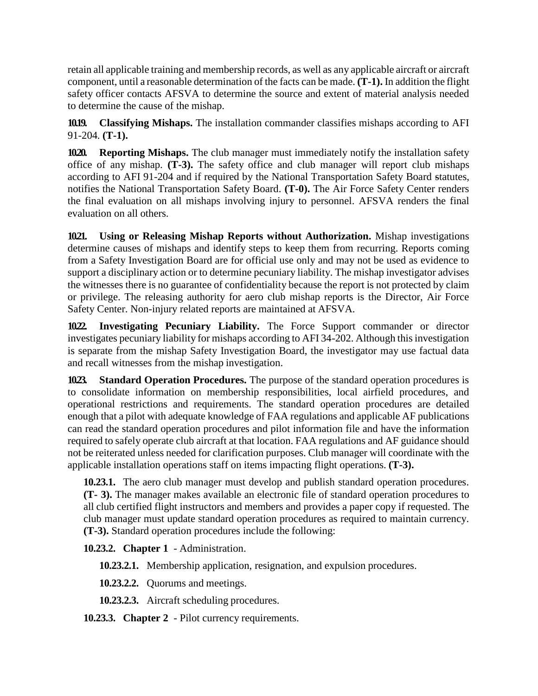retain all applicable training and membership records, as well as any applicable aircraft or aircraft component, until a reasonable determination of the facts can be made. **(T-1).** In addition the flight safety officer contacts AFSVA to determine the source and extent of material analysis needed to determine the cause of the mishap.

**10.19. Classifying Mishaps.** The installation commander classifies mishaps according to AFI 91-204*.* **(T-1).**

**10.20. Reporting Mishaps.** The club manager must immediately notify the installation safety office of any mishap. **(T-3).** The safety office and club manager will report club mishaps according to AFI 91-204 and if required by the National Transportation Safety Board statutes, notifies the National Transportation Safety Board. **(T-0).** The Air Force Safety Center renders the final evaluation on all mishaps involving injury to personnel. AFSVA renders the final evaluation on all others.

**10.21. Using or Releasing Mishap Reports without Authorization.** Mishap investigations determine causes of mishaps and identify steps to keep them from recurring. Reports coming from a Safety Investigation Board are for official use only and may not be used as evidence to support a disciplinary action or to determine pecuniary liability. The mishap investigator advises the witnesses there is no guarantee of confidentiality because the report is not protected by claim or privilege. The releasing authority for aero club mishap reports is the Director, Air Force Safety Center. Non-injury related reports are maintained at AFSVA.

**10.22. Investigating Pecuniary Liability.** The Force Support commander or director investigates pecuniary liability for mishaps according to AFI 34-202. Although this investigation is separate from the mishap Safety Investigation Board, the investigator may use factual data and recall witnesses from the mishap investigation.

**10.23. Standard Operation Procedures.** The purpose of the standard operation procedures is to consolidate information on membership responsibilities, local airfield procedures, and operational restrictions and requirements. The standard operation procedures are detailed enough that a pilot with adequate knowledge of FAA regulations and applicable AF publications can read the standard operation procedures and pilot information file and have the information required to safely operate club aircraft at that location. FAA regulations and AF guidance should not be reiterated unless needed for clarification purposes. Club manager will coordinate with the applicable installation operations staff on items impacting flight operations. **(T-3).**

**10.23.1.** The aero club manager must develop and publish standard operation procedures. **(T- 3).** The manager makes available an electronic file of standard operation procedures to all club certified flight instructors and members and provides a paper copy if requested. The club manager must update standard operation procedures as required to maintain currency. **(T-3).** Standard operation procedures include the following:

**10.23.2. Chapter 1** - Administration.

**10.23.2.1.** Membership application, resignation, and expulsion procedures.

**10.23.2.2.** Quorums and meetings.

**10.23.2.3.** Aircraft scheduling procedures.

**10.23.3. Chapter 2** - Pilot currency requirements.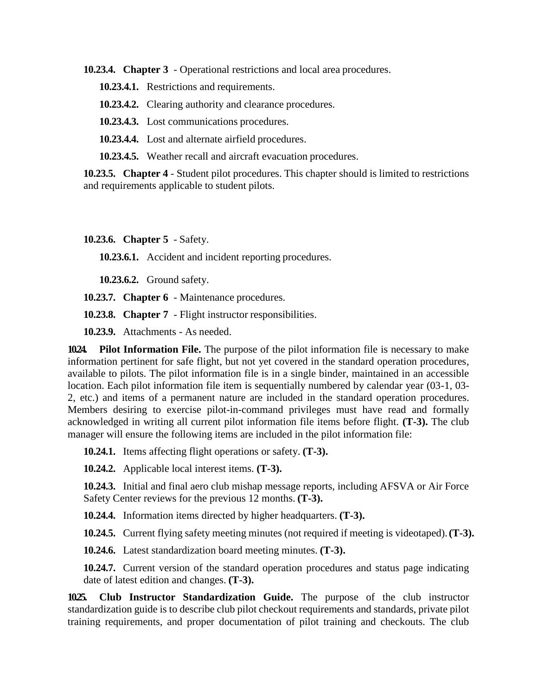**10.23.4. Chapter 3** - Operational restrictions and local area procedures.

**10.23.4.1.** Restrictions and requirements.

**10.23.4.2.** Clearing authority and clearance procedures.

**10.23.4.3.** Lost communications procedures.

**10.23.4.4.** Lost and alternate airfield procedures.

**10.23.4.5.** Weather recall and aircraft evacuation procedures.

**10.23.5. Chapter 4** - Student pilot procedures. This chapter should is limited to restrictions and requirements applicable to student pilots.

**10.23.6. Chapter 5** - Safety.

**10.23.6.1.** Accident and incident reporting procedures.

**10.23.6.2.** Ground safety.

**10.23.7. Chapter 6** - Maintenance procedures.

**10.23.8. Chapter 7** - Flight instructor responsibilities.

**10.23.9.** Attachments - As needed.

**10.24. Pilot Information File.** The purpose of the pilot information file is necessary to make information pertinent for safe flight, but not yet covered in the standard operation procedures, available to pilots. The pilot information file is in a single binder, maintained in an accessible location. Each pilot information file item is sequentially numbered by calendar year (03-1, 03- 2, etc.) and items of a permanent nature are included in the standard operation procedures. Members desiring to exercise pilot-in-command privileges must have read and formally acknowledged in writing all current pilot information file items before flight. **(T-3).** The club manager will ensure the following items are included in the pilot information file:

**10.24.1.** Items affecting flight operations or safety. **(T-3).**

**10.24.2.** Applicable local interest items. **(T-3).**

**10.24.3.** Initial and final aero club mishap message reports, including AFSVA or Air Force Safety Center reviews for the previous 12 months. **(T-3).**

**10.24.4.** Information items directed by higher headquarters. **(T-3).**

**10.24.5.** Current flying safety meeting minutes (not required if meeting is videotaped).**(T-3).**

**10.24.6.** Latest standardization board meeting minutes. **(T-3).**

**10.24.7.** Current version of the standard operation procedures and status page indicating date of latest edition and changes. **(T-3).**

**10.25. Club Instructor Standardization Guide.** The purpose of the club instructor standardization guide is to describe club pilot checkout requirements and standards, private pilot training requirements, and proper documentation of pilot training and checkouts. The club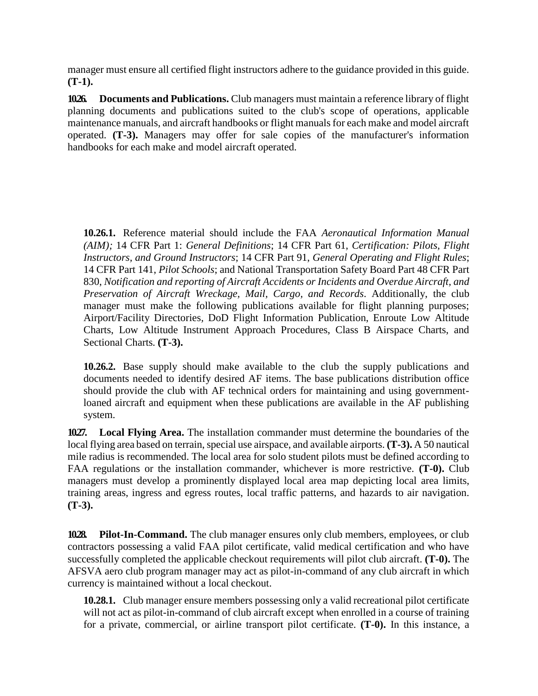manager must ensure all certified flight instructors adhere to the guidance provided in this guide. **(T-1).**

**10.26. Documents and Publications.** Club managers must maintain a reference library of flight planning documents and publications suited to the club's scope of operations, applicable maintenance manuals, and aircraft handbooks or flight manuals for each make and model aircraft operated. **(T-3).** Managers may offer for sale copies of the manufacturer's information handbooks for each make and model aircraft operated.

**10.26.1.** Reference material should include the FAA *Aeronautical Information Manual (AIM);* 14 CFR Part 1: *General Definitions*; 14 CFR Part 61, *Certification: Pilots, Flight Instructors, and Ground Instructors*; 14 CFR Part 91, *General Operating and Flight Rules*; 14 CFR Part 141, *Pilot Schools*; and National Transportation Safety Board Part 48 CFR Part 830, *Notification and reporting of Aircraft Accidents or Incidents and Overdue Aircraft, and Preservation of Aircraft Wreckage, Mail, Cargo, and Records*. Additionally, the club manager must make the following publications available for flight planning purposes; Airport/Facility Directories*,* DoD Flight Information Publication, Enroute Low Altitude Charts, Low Altitude Instrument Approach Procedures, Class B Airspace Charts, and Sectional Charts*.* **(T-3).**

**10.26.2.** Base supply should make available to the club the supply publications and documents needed to identify desired AF items. The base publications distribution office should provide the club with AF technical orders for maintaining and using governmentloaned aircraft and equipment when these publications are available in the AF publishing system.

**10.27. Local Flying Area.** The installation commander must determine the boundaries of the local flying area based on terrain, special use airspace, and available airports. **(T-3).** A 50 nautical mile radius is recommended. The local area for solo student pilots must be defined according to FAA regulations or the installation commander, whichever is more restrictive. **(T-0).** Club managers must develop a prominently displayed local area map depicting local area limits, training areas, ingress and egress routes, local traffic patterns, and hazards to air navigation. **(T-3).**

**10.28. Pilot-In-Command.** The club manager ensures only club members, employees, or club contractors possessing a valid FAA pilot certificate, valid medical certification and who have successfully completed the applicable checkout requirements will pilot club aircraft. **(T-0).** The AFSVA aero club program manager may act as pilot-in-command of any club aircraft in which currency is maintained without a local checkout.

**10.28.1.** Club manager ensure members possessing only a valid recreational pilot certificate will not act as pilot-in-command of club aircraft except when enrolled in a course of training for a private, commercial, or airline transport pilot certificate. **(T-0).** In this instance, a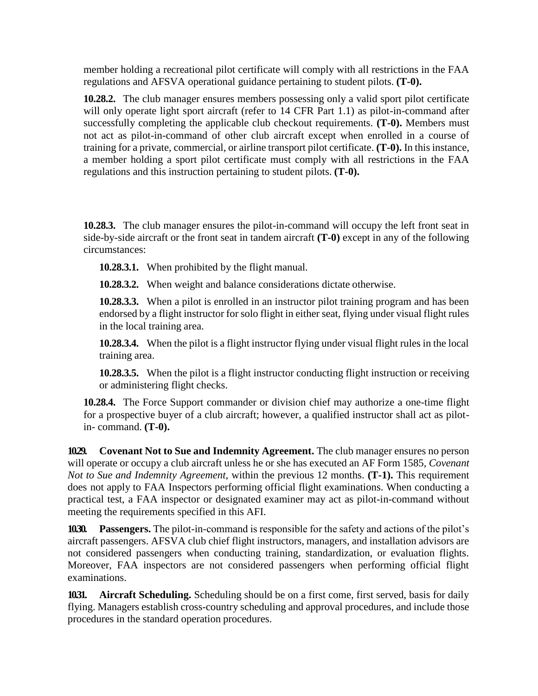member holding a recreational pilot certificate will comply with all restrictions in the FAA regulations and AFSVA operational guidance pertaining to student pilots. **(T-0).**

**10.28.2.** The club manager ensures members possessing only a valid sport pilot certificate will only operate light sport aircraft (refer to 14 CFR Part 1.1) as pilot-in-command after successfully completing the applicable club checkout requirements. **(T-0).** Members must not act as pilot-in-command of other club aircraft except when enrolled in a course of training for a private, commercial, or airline transport pilot certificate. **(T-0).** In this instance, a member holding a sport pilot certificate must comply with all restrictions in the FAA regulations and this instruction pertaining to student pilots. **(T-0).**

**10.28.3.** The club manager ensures the pilot-in-command will occupy the left front seat in side-by-side aircraft or the front seat in tandem aircraft **(T-0)** except in any of the following circumstances:

**10.28.3.1.** When prohibited by the flight manual.

**10.28.3.2.** When weight and balance considerations dictate otherwise.

**10.28.3.3.** When a pilot is enrolled in an instructor pilot training program and has been endorsed by a flight instructor for solo flight in either seat, flying under visual flight rules in the local training area.

**10.28.3.4.** When the pilot is a flight instructor flying under visual flight rules in the local training area.

**10.28.3.5.** When the pilot is a flight instructor conducting flight instruction or receiving or administering flight checks.

**10.28.4.** The Force Support commander or division chief may authorize a one-time flight for a prospective buyer of a club aircraft; however, a qualified instructor shall act as pilotin- command. **(T-0).**

**10.29. Covenant Not to Sue and Indemnity Agreement.** The club manager ensures no person will operate or occupy a club aircraft unless he or she has executed an AF Form 1585, *Covenant Not to Sue and Indemnity Agreement*, within the previous 12 months. **(T-1).** This requirement does not apply to FAA Inspectors performing official flight examinations. When conducting a practical test, a FAA inspector or designated examiner may act as pilot-in-command without meeting the requirements specified in this AFI.

**10.30. Passengers.** The pilot-in-command is responsible for the safety and actions of the pilot's aircraft passengers. AFSVA club chief flight instructors, managers, and installation advisors are not considered passengers when conducting training, standardization, or evaluation flights. Moreover, FAA inspectors are not considered passengers when performing official flight examinations.

**10.31. Aircraft Scheduling.** Scheduling should be on a first come, first served, basis for daily flying. Managers establish cross-country scheduling and approval procedures, and include those procedures in the standard operation procedures.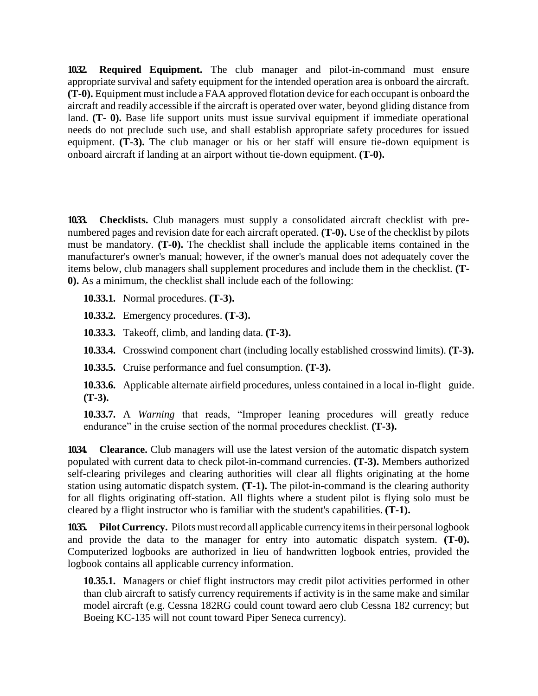**10.32. Required Equipment.** The club manager and pilot-in-command must ensure appropriate survival and safety equipment for the intended operation area is onboard the aircraft. **(T-0).** Equipment must include a FAA approved flotation device for each occupant is onboard the aircraft and readily accessible if the aircraft is operated over water, beyond gliding distance from land. **(T- 0).** Base life support units must issue survival equipment if immediate operational needs do not preclude such use, and shall establish appropriate safety procedures for issued equipment. **(T-3).** The club manager or his or her staff will ensure tie-down equipment is onboard aircraft if landing at an airport without tie-down equipment. **(T-0).**

**10.33. Checklists.** Club managers must supply a consolidated aircraft checklist with prenumbered pages and revision date for each aircraft operated. **(T-0).** Use of the checklist by pilots must be mandatory. **(T-0).** The checklist shall include the applicable items contained in the manufacturer's owner's manual; however, if the owner's manual does not adequately cover the items below, club managers shall supplement procedures and include them in the checklist. **(T-0).** As a minimum, the checklist shall include each of the following:

**10.33.1.** Normal procedures. **(T-3).**

**10.33.2.** Emergency procedures. **(T-3).**

**10.33.3.** Takeoff, climb, and landing data. **(T-3).**

**10.33.4.** Crosswind component chart (including locally established crosswind limits). **(T-3).**

**10.33.5.** Cruise performance and fuel consumption. **(T-3).**

**10.33.6.** Applicable alternate airfield procedures, unless contained in a local in-flight guide. **(T-3).**

**10.33.7.** A *Warning* that reads, "Improper leaning procedures will greatly reduce endurance" in the cruise section of the normal procedures checklist. **(T-3).**

**10.34. Clearance.** Club managers will use the latest version of the automatic dispatch system populated with current data to check pilot-in-command currencies. **(T-3).** Members authorized self-clearing privileges and clearing authorities will clear all flights originating at the home station using automatic dispatch system. **(T-1).** The pilot-in-command is the clearing authority for all flights originating off-station. All flights where a student pilot is flying solo must be cleared by a flight instructor who is familiar with the student's capabilities. **(T-1).**

**10.35. Pilot Currency.** Pilots mustrecord all applicable currencyitemsin their personal logbook and provide the data to the manager for entry into automatic dispatch system. **(T-0).** Computerized logbooks are authorized in lieu of handwritten logbook entries, provided the logbook contains all applicable currency information.

**10.35.1.** Managers or chief flight instructors may credit pilot activities performed in other than club aircraft to satisfy currency requirements if activity is in the same make and similar model aircraft (e.g. Cessna 182RG could count toward aero club Cessna 182 currency; but Boeing KC-135 will not count toward Piper Seneca currency).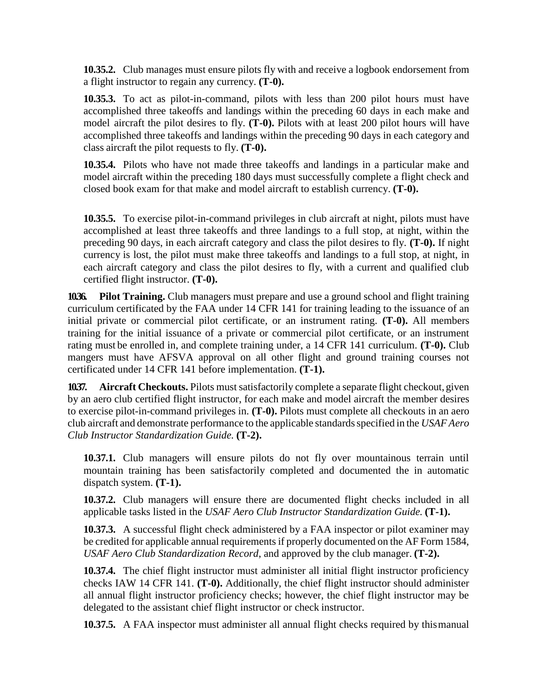**10.35.2.** Club manages must ensure pilots fly with and receive a logbook endorsement from a flight instructor to regain any currency. **(T-0).**

**10.35.3.** To act as pilot-in-command, pilots with less than 200 pilot hours must have accomplished three takeoffs and landings within the preceding 60 days in each make and model aircraft the pilot desires to fly. **(T-0).** Pilots with at least 200 pilot hours will have accomplished three takeoffs and landings within the preceding 90 days in each category and class aircraft the pilot requests to fly. **(T-0).**

**10.35.4.** Pilots who have not made three takeoffs and landings in a particular make and model aircraft within the preceding 180 days must successfully complete a flight check and closed book exam for that make and model aircraft to establish currency. **(T-0).**

**10.35.5.** To exercise pilot-in-command privileges in club aircraft at night, pilots must have accomplished at least three takeoffs and three landings to a full stop, at night, within the preceding 90 days, in each aircraft category and class the pilot desires to fly. **(T-0).** If night currency is lost, the pilot must make three takeoffs and landings to a full stop, at night, in each aircraft category and class the pilot desires to fly, with a current and qualified club certified flight instructor. **(T-0).**

**10.36. Pilot Training.** Club managers must prepare and use a ground school and flight training curriculum certificated by the FAA under 14 CFR 141 for training leading to the issuance of an initial private or commercial pilot certificate, or an instrument rating. **(T-0).** All members training for the initial issuance of a private or commercial pilot certificate, or an instrument rating must be enrolled in, and complete training under, a 14 CFR 141 curriculum. **(T-0).** Club mangers must have AFSVA approval on all other flight and ground training courses not certificated under 14 CFR 141 before implementation. **(T-1).**

**10.37. Aircraft Checkouts.** Pilots must satisfactorily complete a separate flight checkout, given by an aero club certified flight instructor, for each make and model aircraft the member desires to exercise pilot-in-command privileges in. **(T-0).** Pilots must complete all checkouts in an aero club aircraft and demonstrate performance to the applicable standardsspecified in the *USAF Aero Club Instructor Standardization Guide.* **(T-2).**

**10.37.1.** Club managers will ensure pilots do not fly over mountainous terrain until mountain training has been satisfactorily completed and documented the in automatic dispatch system. **(T-1).**

**10.37.2.** Club managers will ensure there are documented flight checks included in all applicable tasks listed in the *USAF Aero Club Instructor Standardization Guide.* **(T-1).**

**10.37.3.** A successful flight check administered by a FAA inspector or pilot examiner may be credited for applicable annual requirements if properly documented on the AF Form 1584, *USAF Aero Club Standardization Record*, and approved by the club manager. **(T-2).**

**10.37.4.** The chief flight instructor must administer all initial flight instructor proficiency checks IAW 14 CFR 141. **(T-0).** Additionally, the chief flight instructor should administer all annual flight instructor proficiency checks; however, the chief flight instructor may be delegated to the assistant chief flight instructor or check instructor.

**10.37.5.** A FAA inspector must administer all annual flight checks required by thismanual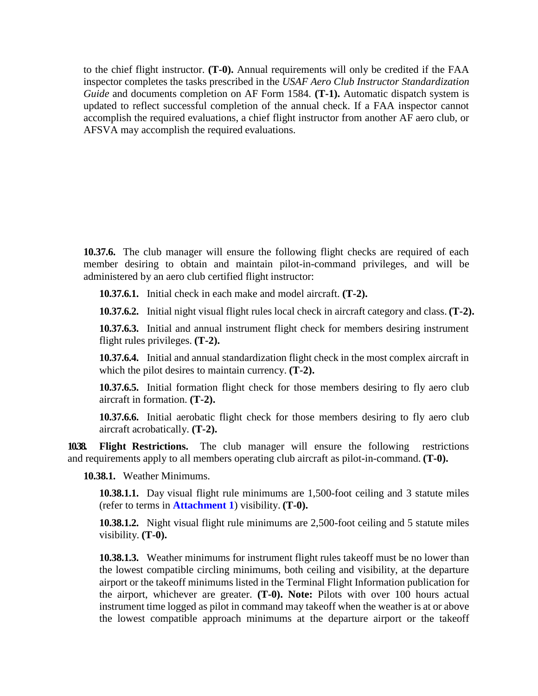to the chief flight instructor. **(T-0).** Annual requirements will only be credited if the FAA inspector completes the tasks prescribed in the *USAF Aero Club Instructor Standardization Guide* and documents completion on AF Form 1584. **(T-1).** Automatic dispatch system is updated to reflect successful completion of the annual check. If a FAA inspector cannot accomplish the required evaluations, a chief flight instructor from another AF aero club, or AFSVA may accomplish the required evaluations.

**10.37.6.** The club manager will ensure the following flight checks are required of each member desiring to obtain and maintain pilot-in-command privileges, and will be administered by an aero club certified flight instructor:

**10.37.6.1.** Initial check in each make and model aircraft. **(T-2).**

**10.37.6.2.** Initial night visual flight rules local check in aircraft category and class. **(T-2).**

**10.37.6.3.** Initial and annual instrument flight check for members desiring instrument flight rules privileges. **(T-2).**

**10.37.6.4.** Initial and annual standardization flight check in the most complex aircraft in which the pilot desires to maintain currency. **(T-2).**

**10.37.6.5.** Initial formation flight check for those members desiring to fly aero club aircraft in formation. **(T-2).**

**10.37.6.6.** Initial aerobatic flight check for those members desiring to fly aero club aircraft acrobatically. **(T-2).**

<span id="page-10-0"></span>**10.38. Flight Restrictions.** The club manager will ensure the following restrictions and requirements apply to all members operating club aircraft as pilot-in-command. **(T-0).**

**10.38.1.** Weather Minimums.

**10.38.1.1.** Day visual flight rule minimums are 1,500-foot ceiling and 3 statute miles (refer to terms in **Attachment 1**) visibility. **(T-0).**

**10.38.1.2.** Night visual flight rule minimums are 2,500-foot ceiling and 5 statute miles visibility. **(T-0).**

**10.38.1.3.** Weather minimums for instrument flight rules takeoff must be no lower than the lowest compatible circling minimums, both ceiling and visibility, at the departure airport or the takeoff minimums listed in the Terminal Flight Information publication for the airport, whichever are greater. **(T-0). Note:** Pilots with over 100 hours actual instrument time logged as pilot in command may takeoff when the weather is at or above the lowest compatible approach minimums at the departure airport or the takeoff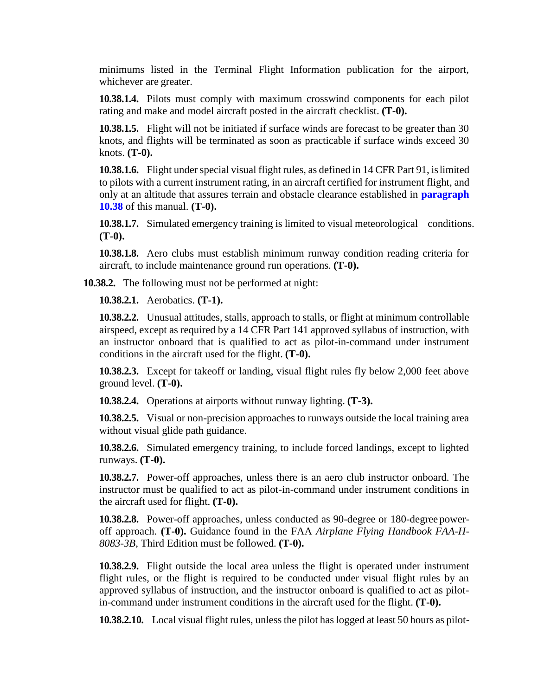minimums listed in the Terminal Flight Information publication for the airport, whichever are greater.

**10.38.1.4.** Pilots must comply with maximum crosswind components for each pilot rating and make and model aircraft posted in the aircraft checklist. **(T-0).**

**10.38.1.5.** Flight will not be initiated if surface winds are forecast to be greater than 30 knots, and flights will be terminated as soon as practicable if surface winds exceed 30 knots. **(T-0).**

**10.38.1.6.** Flight under special visual flight rules, as defined in 14 CFR Part 91, islimited to pilots with a current instrument rating, in an aircraft certified for instrument flight, and only at an altitude that assures terrain and obstacle clearance established in **[paragraph](#page-10-0) [10.38](#page-10-0)** of this manual. **(T-0).**

**10.38.1.7.** Simulated emergency training is limited to visual meteorological conditions. **(T-0).**

**10.38.1.8.** Aero clubs must establish minimum runway condition reading criteria for aircraft, to include maintenance ground run operations. **(T-0).**

**10.38.2.** The following must not be performed at night:

**10.38.2.1.** Aerobatics. **(T-1).**

**10.38.2.2.** Unusual attitudes, stalls, approach to stalls, or flight at minimum controllable airspeed, except as required by a 14 CFR Part 141 approved syllabus of instruction, with an instructor onboard that is qualified to act as pilot-in-command under instrument conditions in the aircraft used for the flight. **(T-0).**

**10.38.2.3.** Except for takeoff or landing, visual flight rules fly below 2,000 feet above ground level. **(T-0).**

**10.38.2.4.** Operations at airports without runway lighting. **(T-3).**

**10.38.2.5.** Visual or non-precision approaches to runways outside the local training area without visual glide path guidance.

**10.38.2.6.** Simulated emergency training, to include forced landings, except to lighted runways. **(T-0).**

**10.38.2.7.** Power-off approaches, unless there is an aero club instructor onboard. The instructor must be qualified to act as pilot-in-command under instrument conditions in the aircraft used for flight. **(T-0).**

**10.38.2.8.** Power-off approaches, unless conducted as 90-degree or 180-degree poweroff approach. **(T-0).** Guidance found in the FAA *Airplane Flying Handbook FAA-H-8083-3B*, Third Edition must be followed. **(T-0).**

**10.38.2.9.** Flight outside the local area unless the flight is operated under instrument flight rules, or the flight is required to be conducted under visual flight rules by an approved syllabus of instruction, and the instructor onboard is qualified to act as pilotin-command under instrument conditions in the aircraft used for the flight. **(T-0).**

**10.38.2.10.** Local visual flight rules, unless the pilot has logged at least 50 hours as pilot-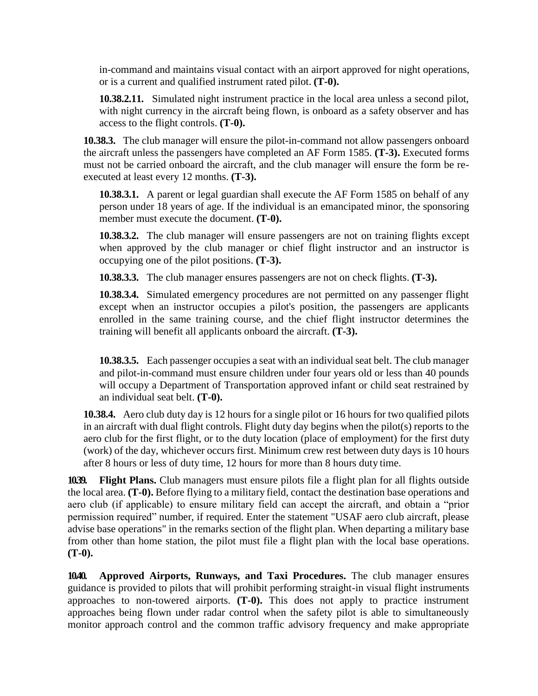in-command and maintains visual contact with an airport approved for night operations, or is a current and qualified instrument rated pilot. **(T-0).**

**10.38.2.11.** Simulated night instrument practice in the local area unless a second pilot, with night currency in the aircraft being flown, is onboard as a safety observer and has access to the flight controls. **(T-0).**

**10.38.3.** The club manager will ensure the pilot-in-command not allow passengers onboard the aircraft unless the passengers have completed an AF Form 1585. **(T-3).** Executed forms must not be carried onboard the aircraft, and the club manager will ensure the form be reexecuted at least every 12 months. **(T-3).**

**10.38.3.1.** A parent or legal guardian shall execute the AF Form 1585 on behalf of any person under 18 years of age. If the individual is an emancipated minor, the sponsoring member must execute the document. **(T-0).**

**10.38.3.2.** The club manager will ensure passengers are not on training flights except when approved by the club manager or chief flight instructor and an instructor is occupying one of the pilot positions. **(T-3).**

**10.38.3.3.** The club manager ensures passengers are not on check flights. **(T-3).**

**10.38.3.4.** Simulated emergency procedures are not permitted on any passenger flight except when an instructor occupies a pilot's position, the passengers are applicants enrolled in the same training course, and the chief flight instructor determines the training will benefit all applicants onboard the aircraft. **(T-3).**

**10.38.3.5.** Each passenger occupies a seat with an individual seat belt. The club manager and pilot-in-command must ensure children under four years old or less than 40 pounds will occupy a Department of Transportation approved infant or child seat restrained by an individual seat belt. **(T-0).**

**10.38.4.** Aero club duty day is 12 hours for a single pilot or 16 hours for two qualified pilots in an aircraft with dual flight controls. Flight duty day begins when the pilot(s) reports to the aero club for the first flight, or to the duty location (place of employment) for the first duty (work) of the day, whichever occurs first. Minimum crew rest between duty days is 10 hours after 8 hours or less of duty time, 12 hours for more than 8 hours duty time.

**10.39. Flight Plans.** Club managers must ensure pilots file a flight plan for all flights outside the local area. **(T-0).** Before flying to a military field, contact the destination base operations and aero club (if applicable) to ensure military field can accept the aircraft, and obtain a "prior permission required" number, if required. Enter the statement "USAF aero club aircraft, please advise base operations" in the remarks section of the flight plan. When departing a military base from other than home station, the pilot must file a flight plan with the local base operations. **(T-0).**

**10.40. Approved Airports, Runways, and Taxi Procedures.** The club manager ensures guidance is provided to pilots that will prohibit performing straight-in visual flight instruments approaches to non-towered airports. **(T-0).** This does not apply to practice instrument approaches being flown under radar control when the safety pilot is able to simultaneously monitor approach control and the common traffic advisory frequency and make appropriate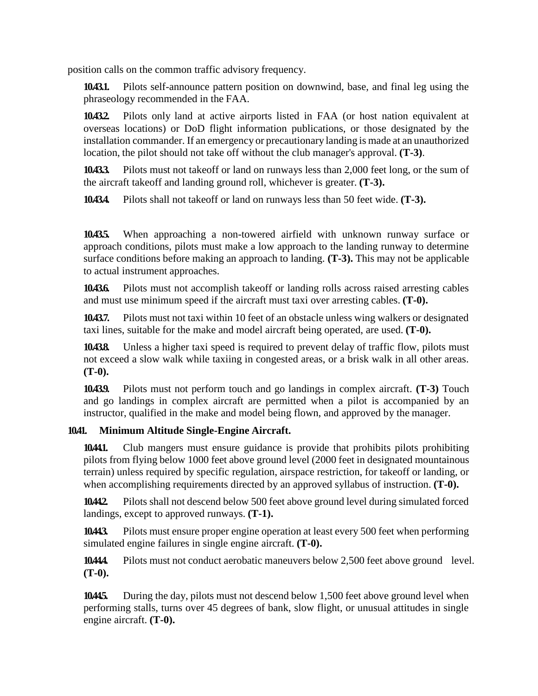position calls on the common traffic advisory frequency.

**10.43.1.** Pilots self-announce pattern position on downwind, base, and final leg using the phraseology recommended in the FAA.

**10.43.2.** Pilots only land at active airports listed in FAA (or host nation equivalent at overseas locations) or DoD flight information publications, or those designated by the installation commander. If an emergency or precautionary landing is made at an unauthorized location, the pilot should not take off without the club manager's approval. **(T-3)**.

**10.433.** Pilots must not takeoff or land on runways less than 2,000 feet long, or the sum of the aircraft takeoff and landing ground roll, whichever is greater. **(T-3).**

**10.43.4.** Pilots shall not takeoff or land on runways less than 50 feet wide. **(T-3).**

**10.43.5.** When approaching a non-towered airfield with unknown runway surface or approach conditions, pilots must make a low approach to the landing runway to determine surface conditions before making an approach to landing. **(T-3).** This may not be applicable to actual instrument approaches.

**10.43.6.** Pilots must not accomplish takeoff or landing rolls across raised arresting cables and must use minimum speed if the aircraft must taxi over arresting cables. **(T-0).**

**10.43.7.** Pilots must not taxi within 10 feet of an obstacle unless wing walkers or designated taxi lines, suitable for the make and model aircraft being operated, are used. **(T-0).**

**10.43.8.** Unless a higher taxi speed is required to prevent delay of traffic flow, pilots must not exceed a slow walk while taxiing in congested areas, or a brisk walk in all other areas. **(T-0).**

**10.43.9.** Pilots must not perform touch and go landings in complex aircraft. **(T-3)** Touch and go landings in complex aircraft are permitted when a pilot is accompanied by an instructor, qualified in the make and model being flown, and approved by the manager.

# **10.41. Minimum Altitude Single-Engine Aircraft.**

**10.44.1.** Club mangers must ensure guidance is provide that prohibits pilots prohibiting pilots from flying below 1000 feet above ground level (2000 feet in designated mountainous terrain) unless required by specific regulation, airspace restriction, for takeoff or landing, or when accomplishing requirements directed by an approved syllabus of instruction. **(T-0).** 

**10.44.2.** Pilots shall not descend below 500 feet above ground level during simulated forced landings, except to approved runways. **(T-1).**

**10.44.3.** Pilots must ensure proper engine operation at least every 500 feet when performing simulated engine failures in single engine aircraft. **(T-0).**

**10.444.** Pilots must not conduct aerobatic maneuvers below 2,500 feet above ground level. **(T-0).**

**10.44.5.** During the day, pilots must not descend below 1,500 feet above ground level when performing stalls, turns over 45 degrees of bank, slow flight, or unusual attitudes in single engine aircraft. **(T-0).**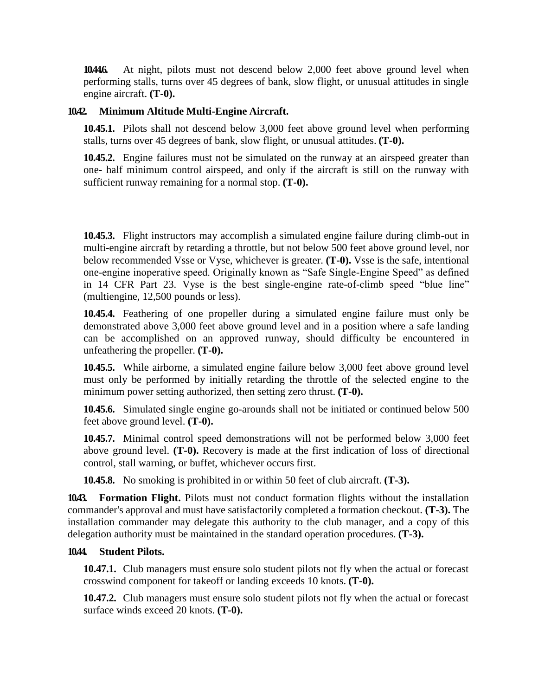**10.44.6.** At night, pilots must not descend below 2,000 feet above ground level when performing stalls, turns over 45 degrees of bank, slow flight, or unusual attitudes in single engine aircraft. **(T-0).**

### **10.42. Minimum Altitude Multi-Engine Aircraft.**

**10.45.1.** Pilots shall not descend below 3,000 feet above ground level when performing stalls, turns over 45 degrees of bank, slow flight, or unusual attitudes. **(T-0).**

**10.45.2.** Engine failures must not be simulated on the runway at an airspeed greater than one- half minimum control airspeed, and only if the aircraft is still on the runway with sufficient runway remaining for a normal stop. **(T-0).**

**10.45.3.** Flight instructors may accomplish a simulated engine failure during climb-out in multi-engine aircraft by retarding a throttle, but not below 500 feet above ground level, nor below recommended Vsse or Vyse, whichever is greater. **(T-0).** Vsse is the safe, intentional one-engine inoperative speed. Originally known as "Safe Single-Engine Speed" as defined in 14 CFR Part 23. Vyse is the best single-engine rate-of-climb speed "blue line" (multiengine, 12,500 pounds or less).

**10.45.4.** Feathering of one propeller during a simulated engine failure must only be demonstrated above 3,000 feet above ground level and in a position where a safe landing can be accomplished on an approved runway, should difficulty be encountered in unfeathering the propeller. **(T-0).**

**10.45.5.** While airborne, a simulated engine failure below 3,000 feet above ground level must only be performed by initially retarding the throttle of the selected engine to the minimum power setting authorized, then setting zero thrust. **(T-0).**

**10.45.6.** Simulated single engine go-arounds shall not be initiated or continued below 500 feet above ground level. **(T-0).**

**10.45.7.** Minimal control speed demonstrations will not be performed below 3,000 feet above ground level. **(T-0).** Recovery is made at the first indication of loss of directional control, stall warning, or buffet, whichever occurs first.

**10.45.8.** No smoking is prohibited in or within 50 feet of club aircraft. **(T-3).**

**10.43. Formation Flight.** Pilots must not conduct formation flights without the installation commander's approval and must have satisfactorily completed a formation checkout. **(T-3).** The installation commander may delegate this authority to the club manager, and a copy of this delegation authority must be maintained in the standard operation procedures. **(T-3).**

### **10.44. Student Pilots.**

**10.47.1.** Club managers must ensure solo student pilots not fly when the actual or forecast crosswind component for takeoff or landing exceeds 10 knots. **(T-0).**

**10.47.2.** Club managers must ensure solo student pilots not fly when the actual or forecast surface winds exceed 20 knots. **(T-0).**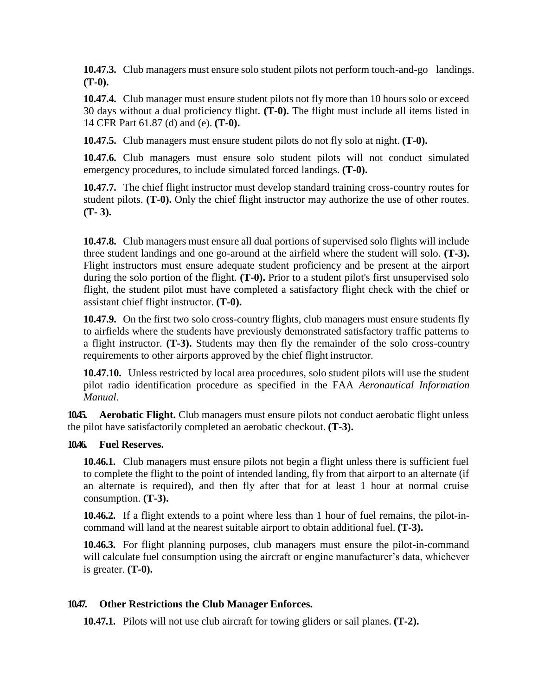**10.47.3.** Club managers must ensure solo student pilots not perform touch-and-go landings. **(T-0).**

**10.47.4.** Club manager must ensure student pilots not fly more than 10 hours solo or exceed 30 days without a dual proficiency flight. **(T-0).** The flight must include all items listed in 14 CFR Part 61.87 (d) and (e). **(T-0).**

**10.47.5.** Club managers must ensure student pilots do not fly solo at night. **(T-0).**

**10.47.6.** Club managers must ensure solo student pilots will not conduct simulated emergency procedures, to include simulated forced landings. **(T-0).**

**10.47.7.** The chief flight instructor must develop standard training cross-country routes for student pilots. **(T-0).** Only the chief flight instructor may authorize the use of other routes. **(T- 3).**

**10.47.8.** Club managers must ensure all dual portions of supervised solo flights will include three student landings and one go-around at the airfield where the student will solo. **(T-3).**  Flight instructors must ensure adequate student proficiency and be present at the airport during the solo portion of the flight. **(T-0).** Prior to a student pilot's first unsupervised solo flight, the student pilot must have completed a satisfactory flight check with the chief or assistant chief flight instructor. **(T-0).**

**10.47.9.** On the first two solo cross-country flights, club managers must ensure students fly to airfields where the students have previously demonstrated satisfactory traffic patterns to a flight instructor. **(T-3).** Students may then fly the remainder of the solo cross-country requirements to other airports approved by the chief flight instructor.

**10.47.10.** Unless restricted by local area procedures, solo student pilots will use the student pilot radio identification procedure as specified in the FAA *Aeronautical Information Manual*.

**10.45. Aerobatic Flight.** Club managers must ensure pilots not conduct aerobatic flight unless the pilot have satisfactorily completed an aerobatic checkout. **(T-3).**

# **10.46. Fuel Reserves.**

**10.46.1.** Club managers must ensure pilots not begin a flight unless there is sufficient fuel to complete the flight to the point of intended landing, fly from that airport to an alternate (if an alternate is required), and then fly after that for at least 1 hour at normal cruise consumption. **(T-3).**

**10.46.2.** If a flight extends to a point where less than 1 hour of fuel remains, the pilot-incommand will land at the nearest suitable airport to obtain additional fuel. **(T-3).**

**10.46.3.** For flight planning purposes, club managers must ensure the pilot-in-command will calculate fuel consumption using the aircraft or engine manufacturer's data, whichever is greater. **(T-0).**

# **10.47. Other Restrictions the Club Manager Enforces.**

**10.47.1.** Pilots will not use club aircraft for towing gliders or sail planes. **(T-2).**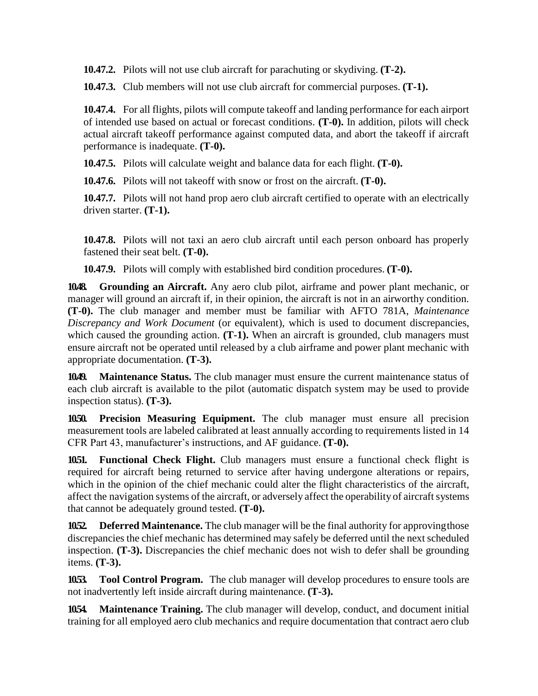**10.47.2.** Pilots will not use club aircraft for parachuting or skydiving. **(T-2).**

**10.47.3.** Club members will not use club aircraft for commercial purposes. **(T-1).**

**10.47.4.** For all flights, pilots will compute takeoff and landing performance for each airport of intended use based on actual or forecast conditions. **(T-0).** In addition, pilots will check actual aircraft takeoff performance against computed data, and abort the takeoff if aircraft performance is inadequate. **(T-0).**

**10.47.5.** Pilots will calculate weight and balance data for each flight. **(T-0).**

**10.47.6.** Pilots will not takeoff with snow or frost on the aircraft. **(T-0).**

**10.47.7.** Pilots will not hand prop aero club aircraft certified to operate with an electrically driven starter. **(T-1).**

**10.47.8.** Pilots will not taxi an aero club aircraft until each person onboard has properly fastened their seat belt. **(T-0).**

**10.47.9.** Pilots will comply with established bird condition procedures. **(T-0).**

**10.48. Grounding an Aircraft.** Any aero club pilot, airframe and power plant mechanic, or manager will ground an aircraft if, in their opinion, the aircraft is not in an airworthy condition. **(T-0).** The club manager and member must be familiar with AFTO 781A, *Maintenance Discrepancy and Work Document* (or equivalent), which is used to document discrepancies, which caused the grounding action. **(T-1).** When an aircraft is grounded, club managers must ensure aircraft not be operated until released by a club airframe and power plant mechanic with appropriate documentation. **(T-3).**

**10.49. Maintenance Status.** The club manager must ensure the current maintenance status of each club aircraft is available to the pilot (automatic dispatch system may be used to provide inspection status). **(T-3).**

**10.50. Precision Measuring Equipment.** The club manager must ensure all precision measurement tools are labeled calibrated at least annually according to requirements listed in 14 CFR Part 43, manufacturer's instructions, and AF guidance. **(T-0).**

**10.51. Functional Check Flight.** Club managers must ensure a functional check flight is required for aircraft being returned to service after having undergone alterations or repairs, which in the opinion of the chief mechanic could alter the flight characteristics of the aircraft, affect the navigation systems of the aircraft, or adversely affect the operability of aircraft systems that cannot be adequately ground tested. **(T-0).**

**10.52. Deferred Maintenance.** The club manager will be the final authority for approvingthose discrepancies the chief mechanic has determined may safely be deferred until the next scheduled inspection. **(T-3).** Discrepancies the chief mechanic does not wish to defer shall be grounding items. **(T-3).**

**10.53. Tool Control Program.** The club manager will develop procedures to ensure tools are not inadvertently left inside aircraft during maintenance. **(T-3).**

**10.54. Maintenance Training.** The club manager will develop, conduct, and document initial training for all employed aero club mechanics and require documentation that contract aero club